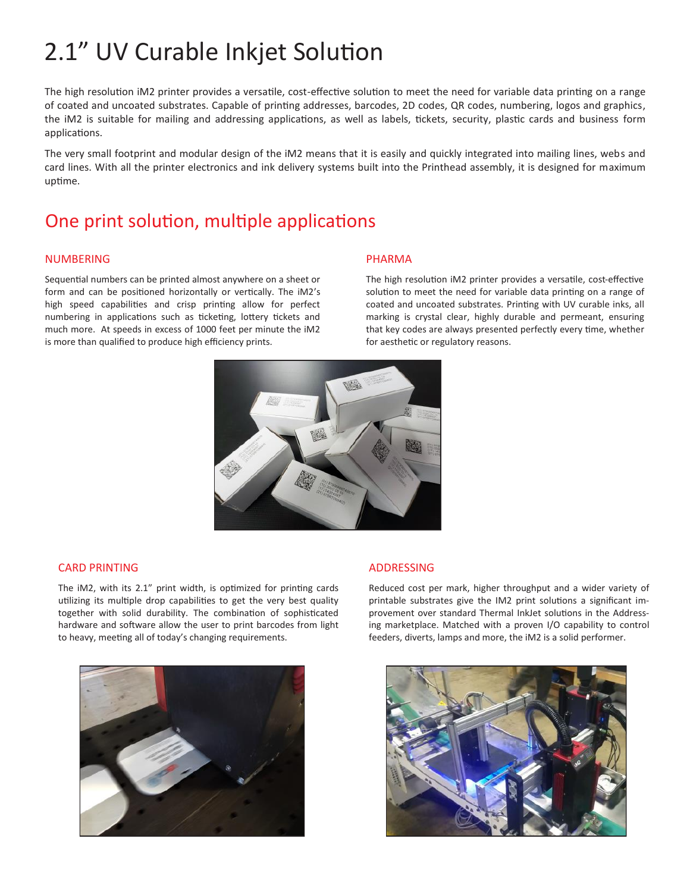# 2.1" UV Curable Inkjet Solution

The high resolution iM2 printer provides a versatile, cost-effective solution to meet the need for variable data printing on a range of coated and uncoated substrates. Capable of printing addresses, barcodes, 2D codes, QR codes, numbering, logos and graphics, the iM2 is suitable for mailing and addressing applications, as well as labels, tickets, security, plastic cards and business form applications.

The very small footprint and modular design of the iM2 means that it is easily and quickly integrated into mailing lines, webs and card lines. With all the printer electronics and ink delivery systems built into the Printhead assembly, it is designed for maximum uptime.

### One print solution, multiple applications

### NUMBERING

Sequential numbers can be printed almost anywhere on a sheet or form and can be positioned horizontally or vertically. The iM2's high speed capabilities and crisp printing allow for perfect numbering in applications such as ticketing, lottery tickets and much more. At speeds in excess of 1000 feet per minute the iM2 is more than qualified to produce high efficiency prints.

#### PHARMA

The high resolution iM2 printer provides a versatile, cost-effective solution to meet the need for variable data printing on a range of coated and uncoated substrates. Printing with UV curable inks, all marking is crystal clear, highly durable and permeant, ensuring that key codes are always presented perfectly every time, whether for aesthetic or regulatory reasons.



#### CARD PRINTING

The iM2, with its 2.1" print width, is optimized for printing cards utilizing its multiple drop capabilities to get the very best quality together with solid durability. The combination of sophisticated hardware and software allow the user to print barcodes from light to heavy, meeting all of today's changing requirements.



#### ADDRESSING

Reduced cost per mark, higher throughput and a wider variety of printable substrates give the IM2 print solutions a significant improvement over standard Thermal InkJet solutions in the Addressing marketplace. Matched with a proven I/O capability to control feeders, diverts, lamps and more, the iM2 is a solid performer.

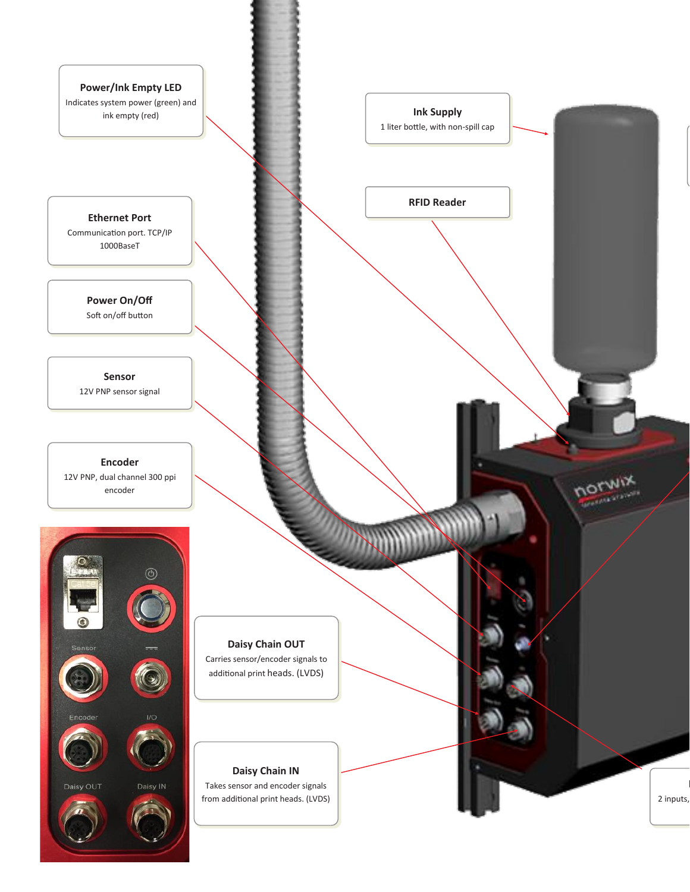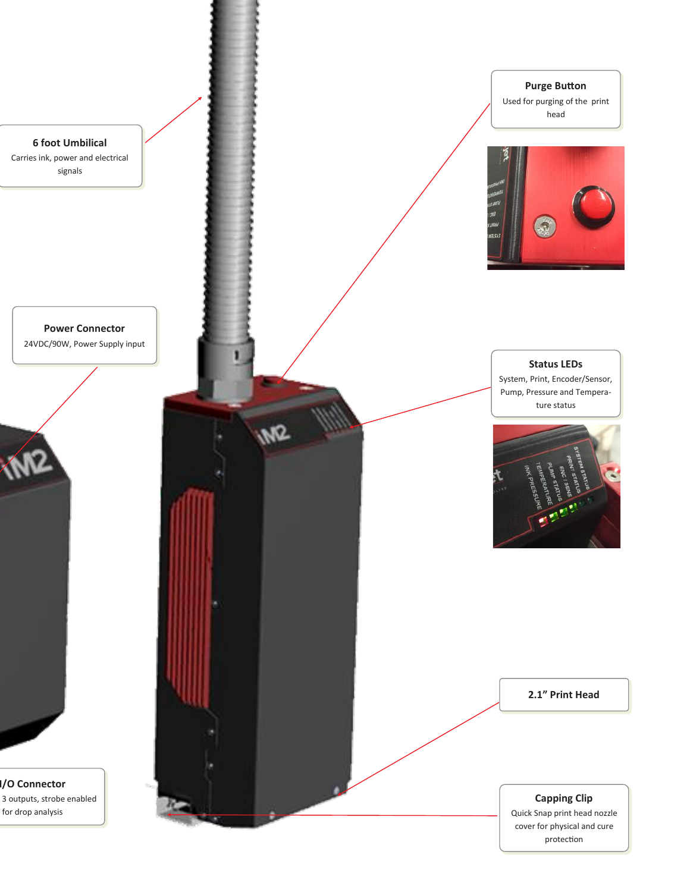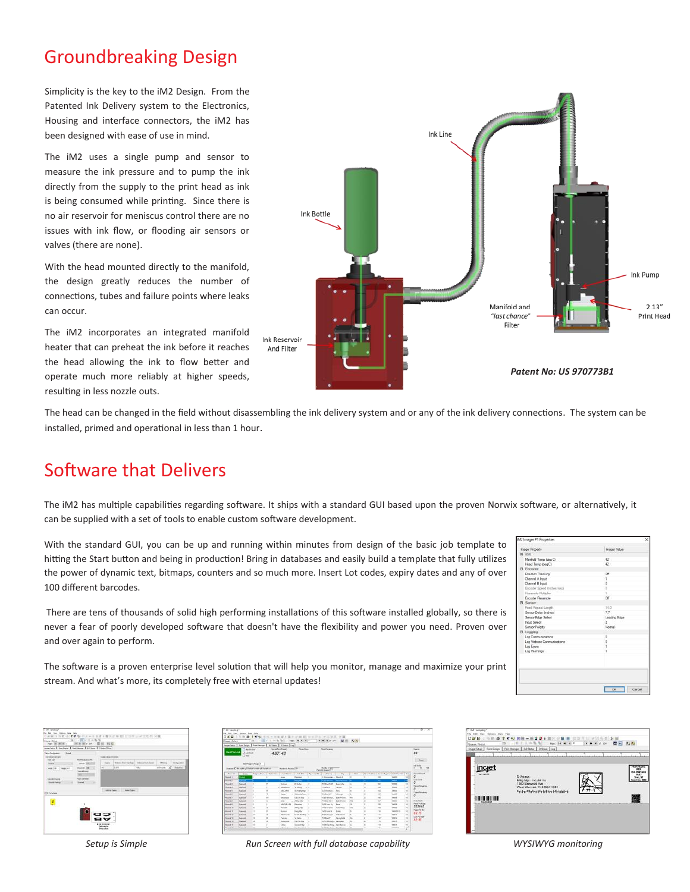## Groundbreaking Design

Simplicity is the key to the iM2 Design. From the Patented Ink Delivery system to the Electronics, Housing and interface connectors, the iM2 has been designed with ease of use in mind.

The iM2 uses a single pump and sensor to measure the ink pressure and to pump the ink directly from the supply to the print head as ink is being consumed while printing. Since there is no air reservoir for meniscus control there are no issues with ink flow, or flooding air sensors or valves (there are none).

With the head mounted directly to the manifold, the design greatly reduces the number of connections, tubes and failure points where leaks can occur.

The iM2 incorporates an integrated manifold heater that can preheat the ink before it reaches the head allowing the ink to flow better and operate much more reliably at higher speeds, resulting in less nozzle outs.



The head can be changed in the field without disassembling the ink delivery system and or any of the ink delivery connections. The system can be installed, primed and operational in less than 1 hour.

### Software that Delivers

The iM2 has multiple capabilities regarding software. It ships with a standard GUI based upon the proven Norwix software, or alternatively, it can be supplied with a set of tools to enable custom software development.

With the standard GUI, you can be up and running within minutes from design of the basic job template to hitting the Start button and being in production! Bring in databases and easily build a template that fully utilizes the power of dynamic text, bitmaps, counters and so much more. Insert Lot codes, expiry dates and any of over 100 different barcodes.

There are tens of thousands of solid high performing installations of this software installed globally, so there is never a fear of poorly developed software that doesn't have the flexibility and power you need. Proven over and over again to perform.

The software is a proven enterprise level solution that will help you monitor, manage and maximize your print stream. And what's more, its completely free with eternal updates!

| Inager Property            | Inager Value   |
|----------------------------|----------------|
| <b>B</b> 005               |                |
| Manfold Temp (dep C)       | $42^{\circ}$   |
| Head Terrip (deg C)        | 42             |
| El Encodor                 |                |
| Direction Tracking         | Off            |
| Channel A Input            |                |
| Channel B Input            |                |
| Encoder Speed Inches/sec)  |                |
| Finanzale Multalier        | ٠              |
| Encoder Reservole          | Off            |
| El Senate                  |                |
| Faird Reseat Limpth        | 14.0           |
| Sensor Delay Inches)       | 77             |
| Sensor Edge Select         | Leading Edge   |
| <b>Inguit Select</b>       | $\overline{c}$ |
| Sensor Polarity            | Normal.        |
| El Logging                 |                |
| Log Communications         |                |
| Log Verbose Communications |                |
| Log Emora                  | ٠              |
| Log Warrangs               | ï              |
|                            |                |
|                            |                |
|                            |                |
|                            |                |
|                            |                |
|                            |                |

| his time dynam has run<br>with 19<br><b>In #1.8</b><br><b>Galler, Michael</b><br>New Diff. Did Tall 1<br>Hamboy   See Dept   Felthings   AT has   Class   115 | <b>MAXIMUM</b><br>同と日の名<br>œ            | 29.70<br>$\overline{a}$                               | ■ 硬 + ■ P ( m ■ ) ( ≤ 0 P & ( w 0 0 m d ) ( m ■ |   |              |           |  |  |  |  |
|---------------------------------------------------------------------------------------------------------------------------------------------------------------|-----------------------------------------|-------------------------------------------------------|-------------------------------------------------|---|--------------|-----------|--|--|--|--|
| 37.77<br><b>Tares Telephone</b>                                                                                                                               |                                         |                                                       |                                                 |   |              |           |  |  |  |  |
| <b>Salidade la balancia</b>                                                                                                                                   |                                         | <b>Ingel Machineed</b>                                |                                                 |   |              |           |  |  |  |  |
| <b>Ford Live</b><br><b>Links</b>                                                                                                                              | <b>Bid-Pendalus (18)</b><br>Vehicle 200 | <b>State</b>                                          | Wagner Ford Services   Research Ford Server     |   | <b>SOULD</b> | Orleans   |  |  |  |  |
| um the country                                                                                                                                                | <b>Busine VR</b>                        | m                                                     | ALMON                                           | m | at inside    | - Insurer |  |  |  |  |
|                                                                                                                                                               | <b><i>Visional Electrical</i></b>       |                                                       | --                                              | ۰ | $-30000$     |           |  |  |  |  |
| <b>Leonard Double</b><br><b>Louis Ferrier</b>                                                                                                                 | <b>Fried Stevens</b><br><b>Inches</b>   |                                                       |                                                 |   |              |           |  |  |  |  |
| <b>TYS TUNING</b>                                                                                                                                             |                                         |                                                       | assetters in Lawrence                           |   |              |           |  |  |  |  |
|                                                                                                                                                               |                                         | as,<br>av<br>********<br>Eastymyle<br><b>Biscolos</b> |                                                 |   |              |           |  |  |  |  |

| D 46 121<br><b>Some Pelat</b>                                                          | $\sim$                                            | ٠<br>$\mathbf{r}$<br>$+1$                                        | ×<br>THE REA   | ٠                            | $\overline{16}$<br>$-0.014$              |            | 10 T et 110 725 2011<br>×<br>×<br>٠                | 24.28<br>٠                    | 投标             |                |                          |                             |                     |                                     |
|----------------------------------------------------------------------------------------|---------------------------------------------------|------------------------------------------------------------------|----------------|------------------------------|------------------------------------------|------------|----------------------------------------------------|-------------------------------|----------------|----------------|--------------------------|-----------------------------|---------------------|-------------------------------------|
| <b>Senate Delux</b>                                                                    | Faste Degap-                                      | <b>Avenue</b> r                                                  |                | Atliberg, E. Gilberg, Line   |                                          |            |                                                    |                               |                |                |                          |                             |                     |                                     |
| <b>Bert Floor, Job</b>                                                                 | <b>Little Britan</b><br>Eleasted<br><b>Li</b> Fed |                                                                  |                | Low Feethern<br>497.42       | Faxe Way                                 |            | <b>Contractor</b>                                  |                               |                |                |                          |                             | <b>Laure</b><br>88  | <b>Algoed</b>                       |
|                                                                                        |                                                   | <b>NATIONAL EXIGENS</b><br>traces. Cataona private researches on |                | <b>Robert Room 198</b>       |                                          |            | President of 2021                                  |                               |                |                |                          |                             | <b>Individual</b>   | $^{12}$                             |
| Texas                                                                                  | <b>Date</b>                                       | Dright Rein  The Initial                                         |                | Los None                     | July 7 top                               | Donamo Bit | dates                                              | City                          | Sept.          |                | Samuelles, Denis Trans.  | And Larsetter   In =        |                     | <b>Facial Firsuit</b>               |
| <b>Barnet 1</b>                                                                        | -                                                 |                                                                  |                | <b>Jones</b>                 | <b>Basico</b>                            |            | Libraries - Mount                                  |                               | ×              | ×              | m                        | <b>Volume</b><br>÷          | <b>MA</b>           | <b>Existing</b>                     |
| Boot:                                                                                  | ▬                                                 |                                                                  |                | ≕                            | links; big                               |            | <b>CONTRACT IN CONTRACT OF STATISTICS</b>          |                               |                |                |                          |                             | ٥                   |                                     |
| Deared 3                                                                               | Garuld                                            |                                                                  | $\blacksquare$ | <b>Bulletin</b>              | DV14k                                    | ٠          | PO By JAM                                          | Isawith                       | $\overline{a}$ | ٠              | $\overline{\phantom{a}}$ | toten                       | 10                  | <b>Flasci Respublic</b>             |
| E force of d                                                                           | Quické                                            |                                                                  |                | Meantons                     | <b>Valida</b>                            | $-16$      | <b>BO for IT</b>                                   | <b>Terrant</b>                | ×              | ٠              | m                        | Total                       | 10<br>۵             |                                     |
| <b>State of U</b>                                                                      | Courant                                           |                                                                  |                | MaCARB                       | <b>Schools</b>                           |            | <b>Affirmation</b>                                 | Total I                       | ×              | ۰              | <b>The</b>               | <b>COOKIE</b>               | 10                  | Copy Rendered                       |
| Barnet #                                                                               | Custod                                            |                                                                  |                | <b>Faces</b>                 | 10 Mold Free                             |            | MO Boy 26                                          | Olicate                       | - 16           | ×              | se.                      | Vehicle                     | w<br>٥              |                                     |
| <b>Educated *</b>                                                                      | Commell                                           |                                                                  | $^{18}$        | Mouthbay                     | CASHA                                    |            | 1780 Ellinoon                                      | <b>Edes Practs</b>            | in Au          | $\rightarrow$  | $-$                      | rees<br>--                  | 55                  |                                     |
| <b>T</b> Except (F)                                                                    | Qacad                                             |                                                                  |                | <b>King</b>                  | <b>Julie Thir</b>                        |            | PO Rev 1981                                        | <b>Edge Praise</b>            | <b>HM</b>      | $\rightarrow$  | <b>RF</b>                | <b>ODE</b>                  | 10                  | <b>HERAA</b><br><b>Paul Pa Fire</b> |
| 1 Rockville                                                                            | Gamt                                              |                                                                  |                | NATIONAL                     | <b><i><u>Reputate</u></i></b>            |            | Julia Puez No.                                     | <b>Bras</b>                   | ۰              | ×              | m                        | Volume                      | <b>N</b>            | 522915                              |
| I Record VI                                                                            | Gaine                                             | ٠                                                                |                | <b><i><u>Project</u></i></b> | AAA1Ha                                   |            | <b><i>LAST Bischmann</i></b>                       | <b><i><u>Talenton</u></i></b> | ÷              | ٠              | m                        | <b>DOM:</b>                 | ×                   | Paper Pro Mi                        |
|                                                                                        | <b>Club-old</b>                                   | $\ddot{\phantom{a}}$                                             |                | <b>Burden</b>                | <b>India</b> Mail                        |            | <b>Salel Alum In</b>                               | <b>Bullet</b>                 | ÷              | ٠              | <b>FW</b>                | restate of                  | ×<br>83.75          |                                     |
|                                                                                        | Competit                                          | 11                                                               |                | Meteoria                     | Dr.W.A.Mile                              |            | 4/50 IN Travel                                     | <b>Cab Bread</b>              | $\lambda$      | ×              | m                        | <b>TREE</b>                 | 55                  | Dol Fe/198                          |
|                                                                                        |                                                   | $\mathbf{r}$                                                     | b              | <b><i><u>Pulmain</u></i></b> | to take                                  |            | (60 line 27)                                       | <b>Sanimarinia</b>            | 46             | $\omega$       | <b>TM</b>                | <b>DOC'S</b>                | 55<br>32.35         |                                     |
|                                                                                        | Curriché                                          |                                                                  |                | Renautor                     | <b>Leville Mar</b>                       |            | <b>SAINMONE</b> , Lescoder                         |                               | ×              | $\overline{a}$ | 181                      | <b>ODE</b>                  | w                   |                                     |
|                                                                                        | Crained                                           | ×                                                                |                |                              |                                          |            |                                                    |                               |                |                |                          |                             |                     |                                     |
| <b>TRANSY</b><br>El Record 10<br>Elevent to<br><b>Educate In</b><br>Becas V<br>$7 - 7$ | <b><i><u>Company</u></i></b><br><b>MOLDER</b>     | ×<br>$\sim$                                                      |                | Christ.<br><b>FRIDADES</b>   | <b>Internet Mar</b><br><b>STATISTICS</b> |            | total Cartesta, Van Marine<br>200101-0121-121-0101 |                               | <b>TE</b><br>- | ×<br>$\sim$    | 15g<br>$-$               | Venus.<br><b>CONTRACTOR</b> | w<br>1774<br>$\sim$ |                                     |

*Setup is Simple Run Screen with full database capability WYSIWYG monitoring*

| <b>IL4 - Lennado Jal</b><br>Dakuns Data Help<br><b>Sease Prist</b><br>Farm Design<br><b>Jeage Sexu</b> | 15<br>÷<br>w<br>10 Status   Log<br>Atl:Status<br><b>Firsthings</b>                                                                  | 世界非常災防軍情報 |                               |
|--------------------------------------------------------------------------------------------------------|-------------------------------------------------------------------------------------------------------------------------------------|-----------|-------------------------------|
| incjet<br>20.3211<br>m<br><b>INVESTOR</b>                                                              | D'Votana<br>Mitte Mar - Inc.Jot Inc.<br>1360 Einwood Ave<br>Viest Warwick, Ri 46634-1681<br>dress Pilla Royal (OFF) 4d Phone 4-Riv- |           | <b>U.S. PERTNGS</b><br>Pa 3's |
|                                                                                                        |                                                                                                                                     |           |                               |